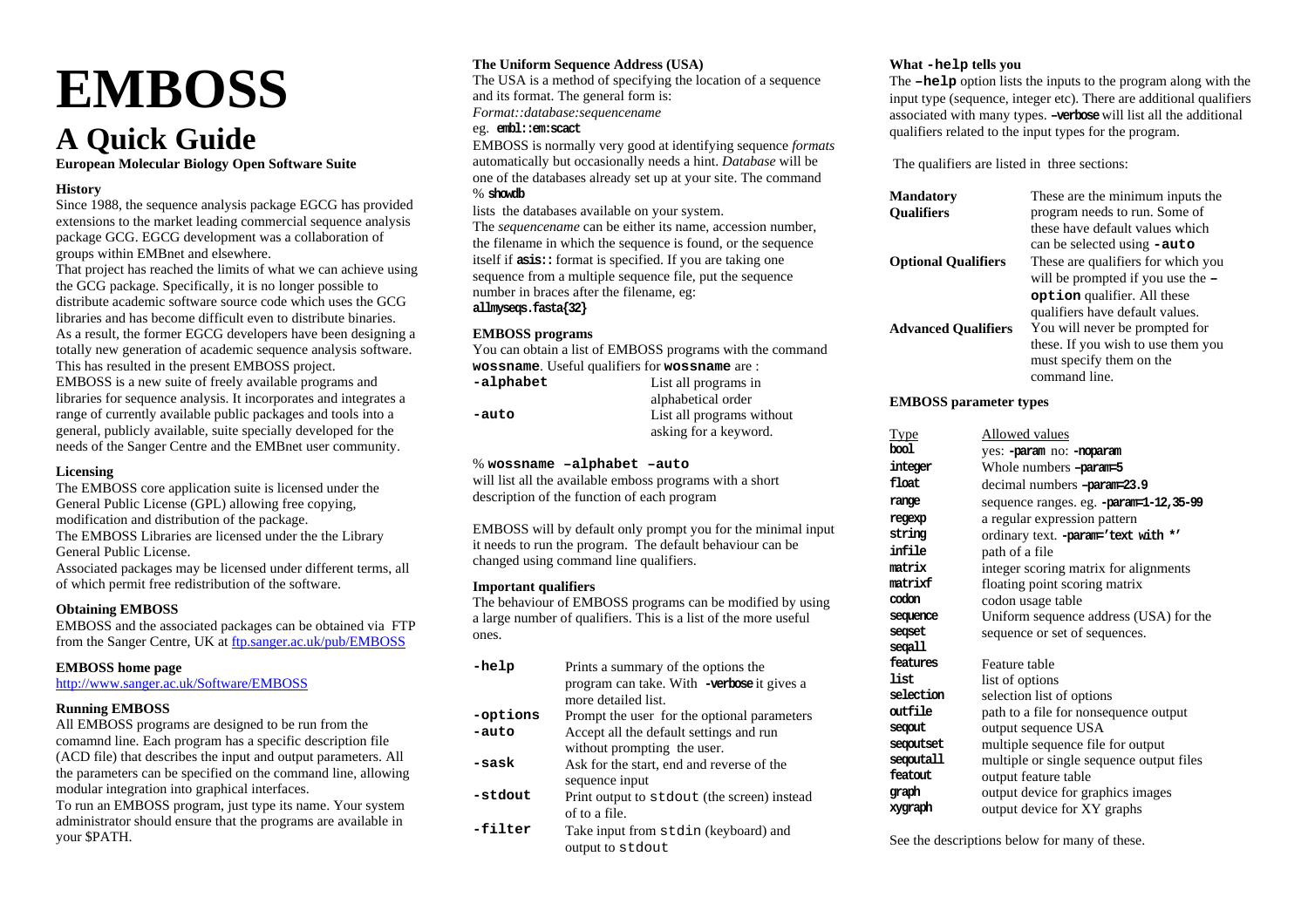# **EMBOSS**

## **A Quick Guide**

**European Molecular Biology Open Software Suite** 

#### **History**

Since 1988, the sequence analysis package EGCG has provided extensions to the market leading commercial sequence analysis package GCG. EGCG development was a collaboration of groups within EMBnet and elsewhere.

That project has reached the limits of what we can achieve using the GCG package. Specifically, it is no longer possible to distribute academic software source code which uses the GCG libraries and has become difficult even to distribute binaries. As a result, the former EGCG developers have been designing a totally new generation of academic sequence analysis software. This has resulted in the present EMBOSS project. EMBOSS is a new suite of freely available programs and libraries for sequence analysis. It incorporates and integrates a range of currently available public packages and tools into a general, publicly available, suite specially developed for the needs of the Sanger Centre and the EMBnet user community.

#### **Licensing**

The EMBOSS core application suite is licensed under the General Public License (GPL) allowing free copying, modification and distribution of the package. The EMBOSS Libraries are licensed under the the Library

General Public License.

Associated packages may be licensed under different terms, all of which permit free redistribution of the software.

#### **Obtaining EMBOSS**

EMBOSS and the associated packages can be obtained via FTP from the Sanger Centre, UK at ftp.sanger.ac.uk/pub/EMBOSS

#### **EMBOSS home page**

http://www.sanger.ac.uk/Software/EMBOSS

#### **Running EMBOSS**

All EMBOSS programs are designed to be run from the comamnd line. Each program has a specific description file (ACD file) that describes the input and output parameters. All the parameters can be specified on the command line, allowing modular integration into graphical interfaces.

To run an EMBOSS program, just type its name. Your system administrator should ensure that the programs are available in your \$PATH.

#### **The Uniform Sequence Address (USA)**

The USA is a method of specifying the location of a sequence and its format. The general form is: *Format::database:sequencename* 

#### eg. **embl::em:scact**

EMBOSS is normally very good at identifying sequence *formats* automatically but occasionally needs a hint. *Database* will be one of the databases already set up at your site. The command % **showdb**

lists the databases available on your system.

The *sequencename* can be either its name, accession number, the filename in which the sequence is found, or the sequence itself if **asis::** format is specified. If you are taking one sequence from a multiple sequence file, put the sequence number in braces after the filename, eg: **allmyseqs.fasta{32}** 

#### **EMBOSS programs**

You can obtain a list of EMBOSS programs with the command **wossname.** Useful qualifiers for **wossname** are :<br>**calphabet List all programs in** 

| -alphabet | List all programs in      |
|-----------|---------------------------|
|           | alphabetical order        |
| -auto     | List all programs without |
|           | asking for a keyword.     |

#### % **wossname –alphabet –auto**

will list all the available emboss programs with a short description of the function of each program

EMBOSS will by default only prompt you for the minimal input it needs to run the program. The default behaviour can be changed using command line qualifiers.

#### **Important qualifiers**

The behaviour of EMBOSS programs can be modified by using a large number of qualifiers. This is a list of the more useful ones.

| -help    | Prints a summary of the options the<br>program can take. With -verbose it gives a<br>more detailed list. |
|----------|----------------------------------------------------------------------------------------------------------|
| -options | Prompt the user for the optional parameters                                                              |
| -auto    | Accept all the default settings and run<br>without prompting the user.                                   |
| -sask    | Ask for the start, end and reverse of the<br>sequence input                                              |
| -stdout  | Print output to stdout (the screen) instead<br>of to a file.                                             |
| -filter  | Take input from stdin (keyboard) and                                                                     |

output to stdout

#### **What -help tells you**

The **–help** option lists the inputs to the program along with the input type (sequence, integer etc). There are additional qualifiers associated with many types. **–verbose** will list all the additional qualifiers related to the input types for the program.

The qualifiers are listed in three sections:

| <b>Mandatory</b><br><b>Qualifiers</b> | These are the minimum inputs the<br>program needs to run. Some of<br>these have default values which<br>can be selected using <b>-auto</b>         |
|---------------------------------------|----------------------------------------------------------------------------------------------------------------------------------------------------|
| <b>Optional Qualifiers</b>            | These are qualifiers for which you<br>will be prompted if you use the $-$<br><b>option</b> qualifier. All these<br>qualifiers have default values. |
| <b>Advanced Qualifiers</b>            | You will never be prompted for<br>these. If you wish to use them you<br>must specify them on the<br>command line.                                  |

#### **EMBOSS parameter types**

| <u>Type</u> | Allowed values                           |
|-------------|------------------------------------------|
| bool        | yes: -param no: -noparam                 |
| integer     | Whole numbers -param=5                   |
| float       | decimal numbers -param=23.9              |
| range       | sequence ranges. eg. - param=1-12,35-99  |
| regexp      | a regular expression pattern             |
| string      | ordinary text. - param='text with *'     |
| infile      | path of a file                           |
| matrix      | integer scoring matrix for alignments    |
| matrixf     | floating point scoring matrix            |
| codon       | codon usage table                        |
| sequence    | Uniform sequence address (USA) for the   |
| segset      | sequence or set of sequences.            |
| segall      |                                          |
| features    | Feature table                            |
| list        | list of options                          |
| selection   | selection list of options                |
| outfile     | path to a file for nonsequence output    |
| segout      | output sequence USA                      |
| segoutset   | multiple sequence file for output        |
| segoutall   | multiple or single sequence output files |
| featout     | output feature table                     |
| graph       | output device for graphics images        |
| xygraph     | output device for XY graphs              |

See the descriptions below for many of these.